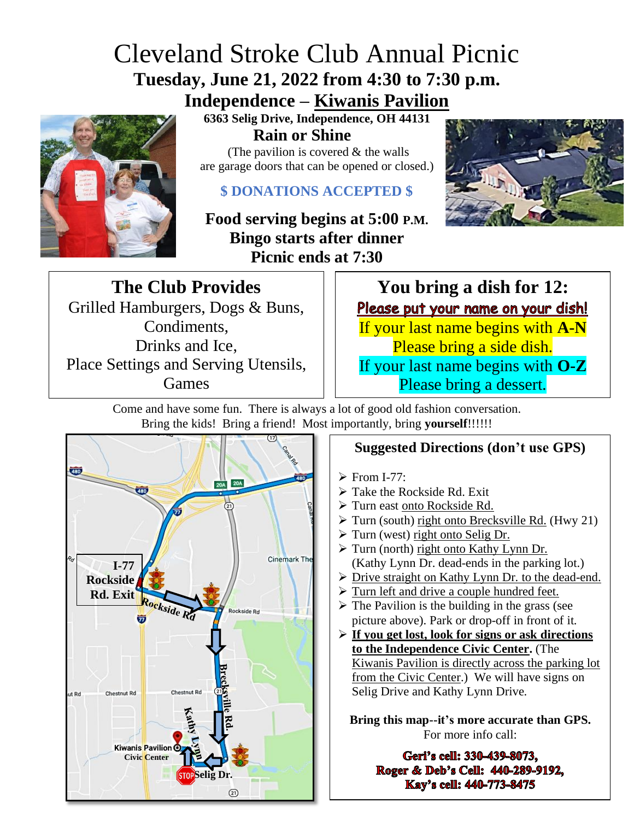## Cleveland Stroke Club Annual Picnic **Tuesday, June 21, 2022 from 4:30 to 7:30 p.m.**

**Independence – Kiwanis Pavilion**



**6363 Selig Drive, Independence, OH 44131 Rain or Shine**

(The pavilion is covered  $&$  the walls are garage doors that can be opened or closed.)

## **\$ DONATIONS ACCEPTED \$**

**Food serving begins at 5:00 P.M. Bingo starts after dinner Picnic ends at 7:30** 



**The Club Provides** Grilled Hamburgers, Dogs & Buns, Condiments, Drinks and Ice, Place Settings and Serving Utensils, Games

**You bring a dish for 12:** Please put your name on your dish! If your last name begins with **A-N** Please bring a side dish. If your last name begins with **O-Z** Please bring a dessert.

Come and have some fun. There is always a lot of good old fashion conversation. Bring the kids! Bring a friend! Most importantly, bring **yourself**!!!!!!



## **Suggested Directions (don't use GPS)**

- $\triangleright$  From I-77:
- ➢ Take the Rockside Rd. Exit
- ➢ Turn east onto Rockside Rd.
- ➢ Turn (south) right onto Brecksville Rd. (Hwy 21)
- $\triangleright$  Turn (west) right onto Selig Dr.
- ➢ Turn (north) right onto Kathy Lynn Dr. (Kathy Lynn Dr. dead-ends in the parking lot.)
- ➢ Drive straight on Kathy Lynn Dr. to the dead-end.
- ➢ Turn left and drive a couple hundred feet.
- $\triangleright$  The Pavilion is the building in the grass (see picture above). Park or drop-off in front of it.
- ➢ **If you get lost, look for signs or ask directions to the Independence Civic Center.** (The Kiwanis Pavilion is directly across the parking lot from the Civic Center.) We will have signs on Selig Drive and Kathy Lynn Drive.

**Bring this map--it's more accurate than GPS.** For more info call:

> Geri's cell: 330-439-8073. Roger & Deb's Cell: 440-289-9192. Kay's cell: 440-773-8475